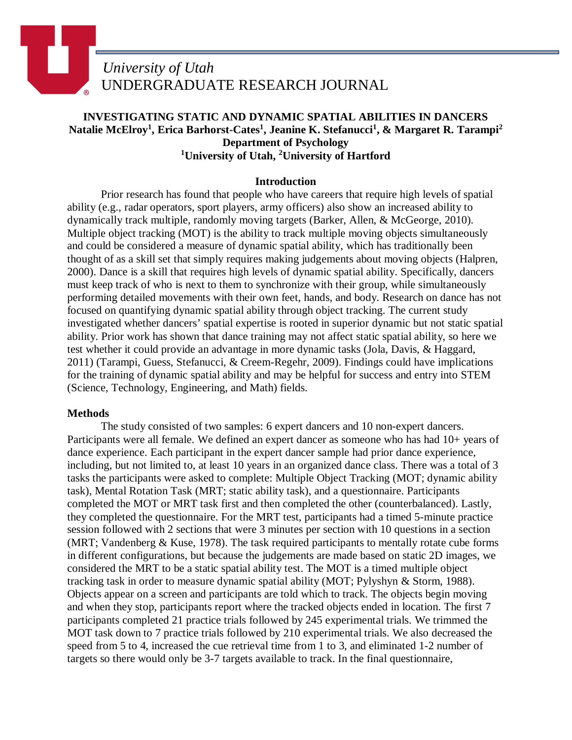# *University of Utah* UNDERGRADUATE RESEARCH JOURNAL

## **INVESTIGATING STATIC AND DYNAMIC SPATIAL ABILITIES IN DANCERS Natalie McElroy<sup>1</sup> , Erica Barhorst-Cates1 , Jeanine K. Stefanucci<sup>1</sup> , & Margaret R. Tarampi<sup>2</sup> Department of Psychology 1 University of Utah, <sup>2</sup> University of Hartford**

## **Introduction**

Prior research has found that people who have careers that require high levels of spatial ability (e.g., radar operators, sport players, army officers) also show an increased ability to dynamically track multiple, randomly moving targets (Barker, Allen, & McGeorge, 2010). Multiple object tracking (MOT) is the ability to track multiple moving objects simultaneously and could be considered a measure of dynamic spatial ability, which has traditionally been thought of as a skill set that simply requires making judgements about moving objects (Halpren, 2000). Dance is a skill that requires high levels of dynamic spatial ability. Specifically, dancers must keep track of who is next to them to synchronize with their group, while simultaneously performing detailed movements with their own feet, hands, and body. Research on dance has not focused on quantifying dynamic spatial ability through object tracking. The current study investigated whether dancers' spatial expertise is rooted in superior dynamic but not static spatial ability. Prior work has shown that dance training may not affect static spatial ability, so here we test whether it could provide an advantage in more dynamic tasks (Jola, Davis, & Haggard, 2011) (Tarampi, Guess, Stefanucci, & Creem-Regehr, 2009). Findings could have implications for the training of dynamic spatial ability and may be helpful for success and entry into STEM (Science, Technology, Engineering, and Math) fields.

## **Methods**

The study consisted of two samples: 6 expert dancers and 10 non-expert dancers. Participants were all female. We defined an expert dancer as someone who has had 10+ years of dance experience. Each participant in the expert dancer sample had prior dance experience, including, but not limited to, at least 10 years in an organized dance class. There was a total of 3 tasks the participants were asked to complete: Multiple Object Tracking (MOT; dynamic ability task), Mental Rotation Task (MRT; static ability task), and a questionnaire. Participants completed the MOT or MRT task first and then completed the other (counterbalanced). Lastly, they completed the questionnaire. For the MRT test, participants had a timed 5-minute practice session followed with 2 sections that were 3 minutes per section with 10 questions in a section (MRT; Vandenberg & Kuse, 1978). The task required participants to mentally rotate cube forms in different configurations, but because the judgements are made based on static 2D images, we considered the MRT to be a static spatial ability test. The MOT is a timed multiple object tracking task in order to measure dynamic spatial ability (MOT; Pylyshyn & Storm, 1988). Objects appear on a screen and participants are told which to track. The objects begin moving and when they stop, participants report where the tracked objects ended in location. The first 7 participants completed 21 practice trials followed by 245 experimental trials. We trimmed the MOT task down to 7 practice trials followed by 210 experimental trials. We also decreased the speed from 5 to 4, increased the cue retrieval time from 1 to 3, and eliminated 1-2 number of targets so there would only be 3-7 targets available to track. In the final questionnaire,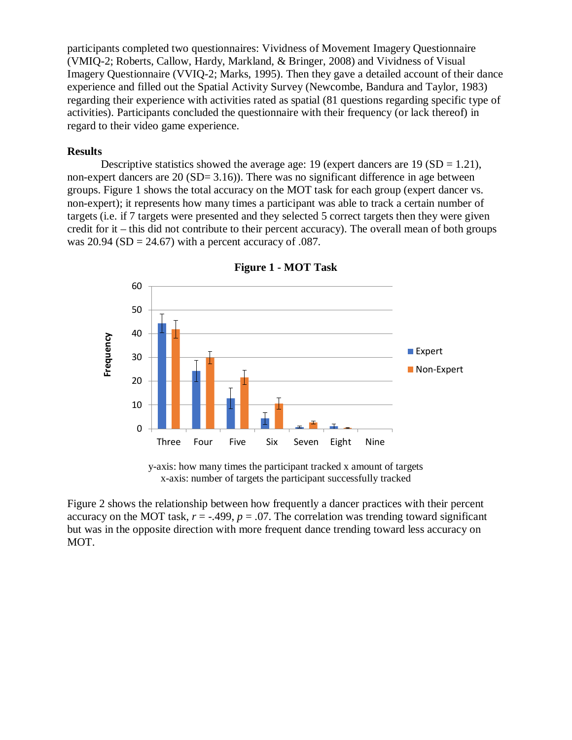participants completed two questionnaires: Vividness of Movement Imagery Questionnaire (VMIQ-2; Roberts, Callow, Hardy, Markland, & Bringer, 2008) and Vividness of Visual Imagery Questionnaire (VVIQ-2; Marks, 1995). Then they gave a detailed account of their dance experience and filled out the Spatial Activity Survey (Newcombe, Bandura and Taylor, 1983) regarding their experience with activities rated as spatial (81 questions regarding specific type of activities). Participants concluded the questionnaire with their frequency (or lack thereof) in regard to their video game experience.

#### **Results**

Descriptive statistics showed the average age: 19 (expert dancers are  $19 (SD = 1.21)$ ), non-expert dancers are  $20$  (SD=  $3.16$ )). There was no significant difference in age between groups. Figure 1 shows the total accuracy on the MOT task for each group (expert dancer vs. non-expert); it represents how many times a participant was able to track a certain number of targets (i.e. if 7 targets were presented and they selected 5 correct targets then they were given credit for it – this did not contribute to their percent accuracy). The overall mean of both groups was  $20.94$  (SD = 24.67) with a percent accuracy of .087.



**Figure 1 - MOT Task**

y-axis: how many times the participant tracked x amount of targets x-axis: number of targets the participant successfully tracked

Figure 2 shows the relationship between how frequently a dancer practices with their percent accuracy on the MOT task,  $r = -0.499$ ,  $p = 0.07$ . The correlation was trending toward significant but was in the opposite direction with more frequent dance trending toward less accuracy on MOT.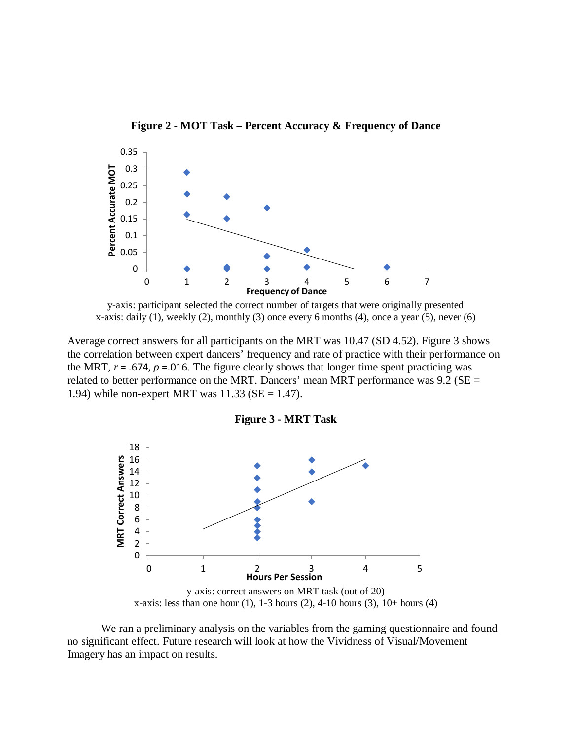



y-axis: participant selected the correct number of targets that were originally presented x-axis: daily (1), weekly (2), monthly (3) once every 6 months (4), once a year (5), never (6)

Average correct answers for all participants on the MRT was 10.47 (SD 4.52). Figure 3 shows the correlation between expert dancers' frequency and rate of practice with their performance on the MRT,  $r = .674$ ,  $p = .016$ . The figure clearly shows that longer time spent practicing was related to better performance on the MRT. Dancers' mean MRT performance was  $9.2$  (SE = 1.94) while non-expert MRT was  $11.33$  (SE = 1.47).





x-axis: less than one hour  $(1)$ , 1-3 hours  $(2)$ , 4-10 hours  $(3)$ , 10+ hours  $(4)$ 

We ran a preliminary analysis on the variables from the gaming questionnaire and found no significant effect. Future research will look at how the Vividness of Visual/Movement Imagery has an impact on results.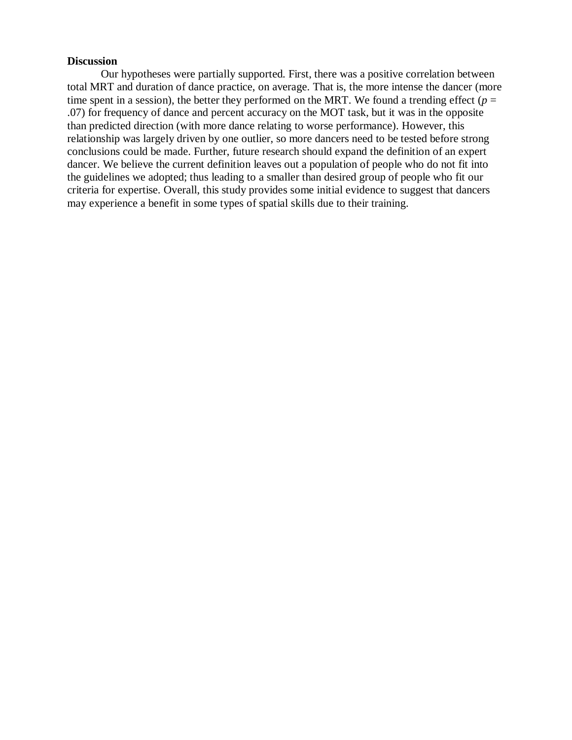### **Discussion**

Our hypotheses were partially supported. First, there was a positive correlation between total MRT and duration of dance practice, on average. That is, the more intense the dancer (more time spent in a session), the better they performed on the MRT. We found a trending effect ( $p =$ .07) for frequency of dance and percent accuracy on the MOT task, but it was in the opposite than predicted direction (with more dance relating to worse performance). However, this relationship was largely driven by one outlier, so more dancers need to be tested before strong conclusions could be made. Further, future research should expand the definition of an expert dancer. We believe the current definition leaves out a population of people who do not fit into the guidelines we adopted; thus leading to a smaller than desired group of people who fit our criteria for expertise. Overall, this study provides some initial evidence to suggest that dancers may experience a benefit in some types of spatial skills due to their training.